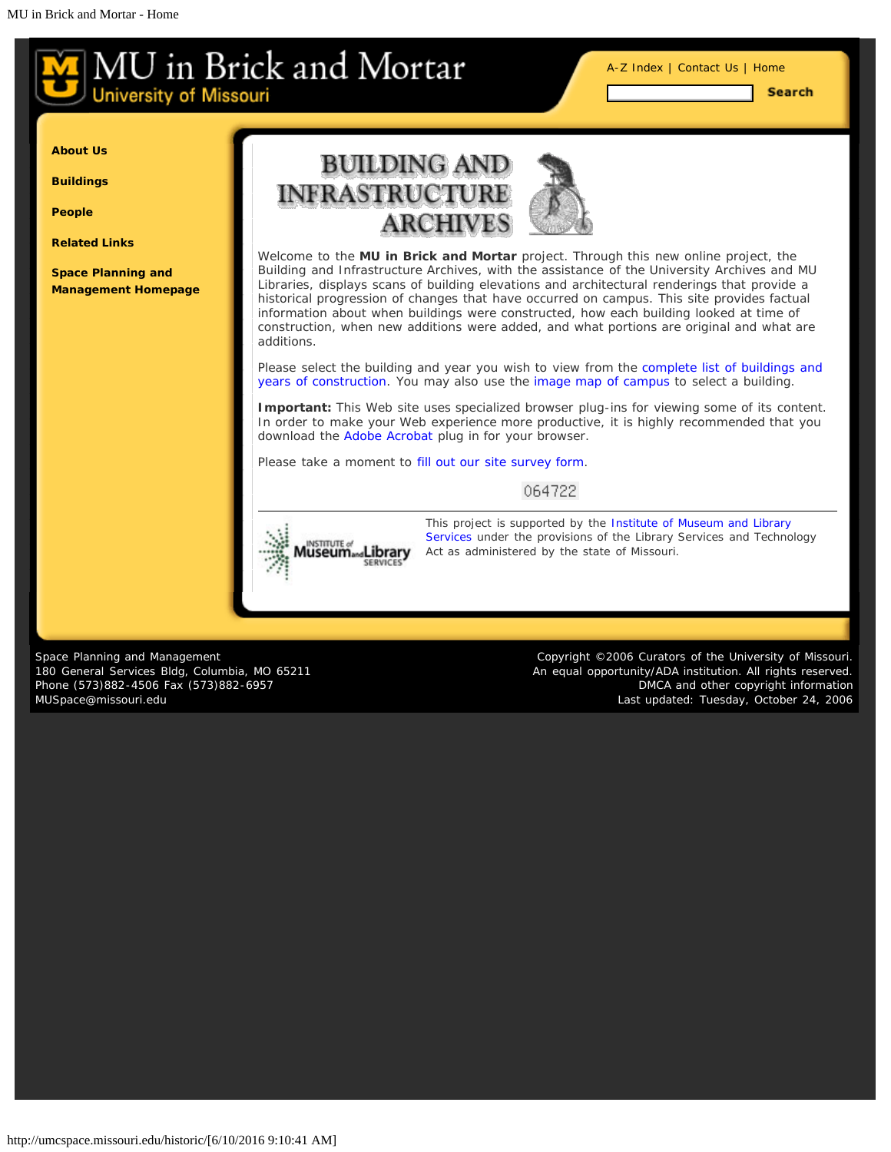[A-Z Index](#page-1-0) | [Contact Us](#page-2-0) | [Home](#page-0-0)

**Search** 

<span id="page-0-0"></span>**[About Us](#page-0-0)**

**[Buildings](#page-0-0)**

**[People](#page-0-0)**

**[Related Links](#page-18-0)**

**[Space Planning and](http://www.cf.missouri.edu/spm) [Management Homepage](http://www.cf.missouri.edu/spm)**



Welcome to the **MU in Brick and Mortar** project. Through this new online project, the Building and Infrastructure Archives, with the assistance of the University Archives and MU Libraries, displays scans of building elevations and architectural renderings that provide a historical progression of changes that have occurred on campus. This site provides factual information about when buildings were constructed, how each building looked at time of construction, when new additions were added, and what portions are original and what are additions.

Please select the building and year you wish to view from the [complete list of buildings and](#page-9-0) [years of construction.](#page-9-0) You may also use the [image map of campus](#page-12-0) to select a building.

**Important:** This Web site uses specialized browser plug-ins for viewing some of its content. In order to make your Web experience more productive, it is highly recommended that you download the [Adobe Acrobat](http://www.adobe.com/products/acrobat/readstep2.html) plug in for your browser.

Please take a moment to [fill out our site survey form.](#page-19-0)

064722



*[T](http://www.imls.gov/)his project is supported by the [Institute of Museum and Library](http://www.imls.gov/) [Services](http://www.imls.gov/) under the provisions of the Library Services and Technology Act as administered by the state of Missouri.*

Space Planning and Management 180 General Services Bldg, Columbia, MO 65211 Phone (573)882-4506 Fax (573)882-6957 [MUSpace@missouri.edu](mailto:MUSpace@missouri.edu)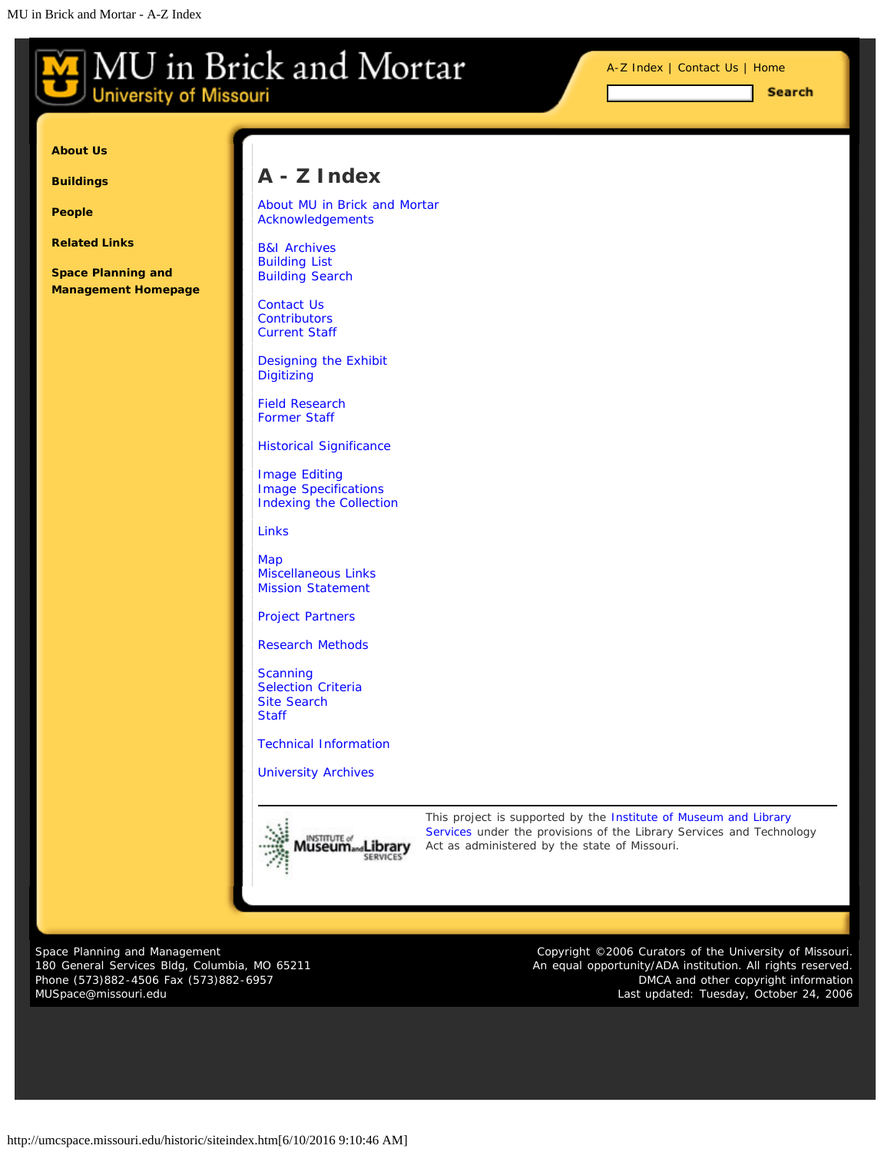<span id="page-1-0"></span>**University of Missouri** 

[A-Z Index](#page-1-0) | [Contact Us](#page-2-0) | [Home](#page-0-0)

Search

**[About Us](#page-1-0)**

**[Buildings](#page-1-0)**

**[People](#page-1-0)**

**[Related Links](#page-18-0)**

**[Space Planning and](http://www.cf.missouri.edu/spm) [Management Homepage](http://www.cf.missouri.edu/spm)**

# **A - Z Index**

[About MU in Brick and Mortar](#page-3-0) [Acknowledgements](#page-8-0)

[B&I Archives](#page-5-0) [Building List](#page-9-0) [Building Search](http://umcspace.missouri.edu/historic/search/buildings.htm)

[Contact Us](#page-2-0) **[Contributors](#page-18-0)** [Current Staff](#page-15-0)

[Designing the Exhibit](#page-6-0) **[Digitizing](#page-6-0)** 

[Field Research](#page-5-0) [Former Staff](#page-16-0)

[Historical Significance](#page-4-0)

[Image Editing](#page-6-0) [Image Specifications](#page-6-0) [Indexing the Collection](#page-6-0)

[Links](#page-18-0)

[Map](#page-12-0) [Miscellaneous Links](#page-18-0) [Mission Statement](#page-3-0)

[Project Partners](#page-18-0)

[Research Methods](#page-5-0)

**[Scanning](#page-6-0)** [Selection Criteria](#page-4-0) [Site Search](http://umcspace.missouri.edu/historic/search/site.htm) **[Staff](#page-15-0)** 

[Technical Information](#page-6-0)

[University Archives](#page-5-0)



*[T](http://www.imls.gov/)his project is supported by the [Institute of Museum and Library](http://www.imls.gov/) [Services](http://www.imls.gov/) under the provisions of the Library Services and Technology Act as administered by the state of Missouri.*

Space Planning and Management 180 General Services Bldg, Columbia, MO 65211 Phone (573)882-4506 Fax (573)882-6957 [MUSpace@missouri.edu](mailto:MUSpace@missouri.edu)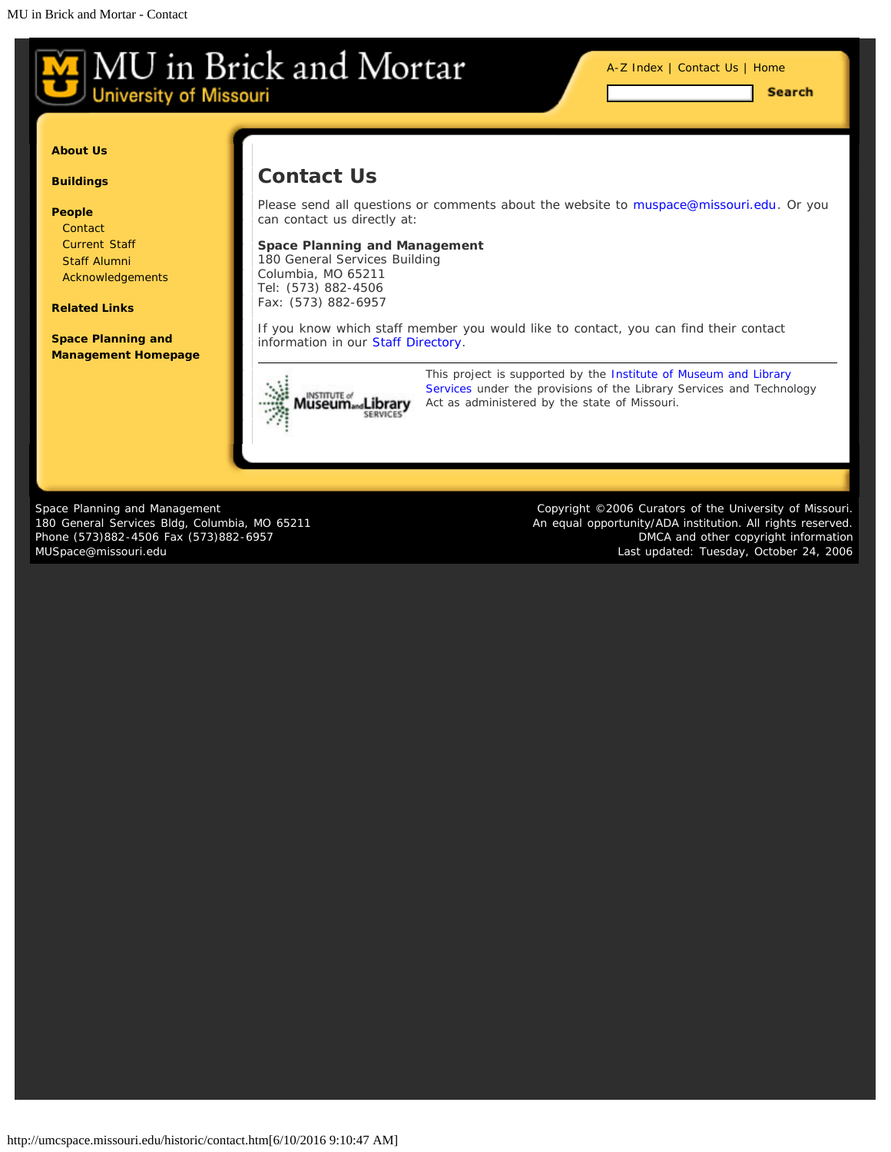<span id="page-2-0"></span>**University of Missouri** 

[A-Z Index](#page-1-0) | [Contact Us](#page-2-0) | [Home](#page-0-0)

Search

#### **[About Us](#page-2-0)**

**[Buildings](#page-2-0)**

#### **[People](#page-2-0)**

**[Contact](#page-2-0)** [Current Staff](#page-15-0) [Staff Alumni](#page-16-0) [Acknowledgements](#page-8-0)

**[Related Links](#page-18-0)**

**[Space Planning and](http://www.cf.missouri.edu/spm) [Management Homepage](http://www.cf.missouri.edu/spm)**

## **Contact Us**

Please send all questions or comments about the website to [muspace@missouri.edu](mailto:muspace@missouri.edu?subject=Question%20About%20MU%20in%20Brick%20and%20Mortar). Or you can contact us directly at:

#### **Space Planning and Management**

180 General Services Building Columbia, MO 65211 Tel: (573) 882-4506 Fax: (573) 882-6957

If you know which staff member you would like to contact, you can find their contact information in our [Staff Directory.](#page-15-0)



*This project is supported by the [Institute of Museum and Library](http://www.imls.gov/) [Services](http://www.imls.gov/) under the provisions of the Library Services and Technology [A](http://www.imls.gov/)ct as administered by the state of Missouri.*

Space Planning and Management 180 General Services Bldg, Columbia, MO 65211 Phone (573)882-4506 Fax (573)882-6957 [MUSpace@missouri.edu](mailto:MUSpace@missouri.edu)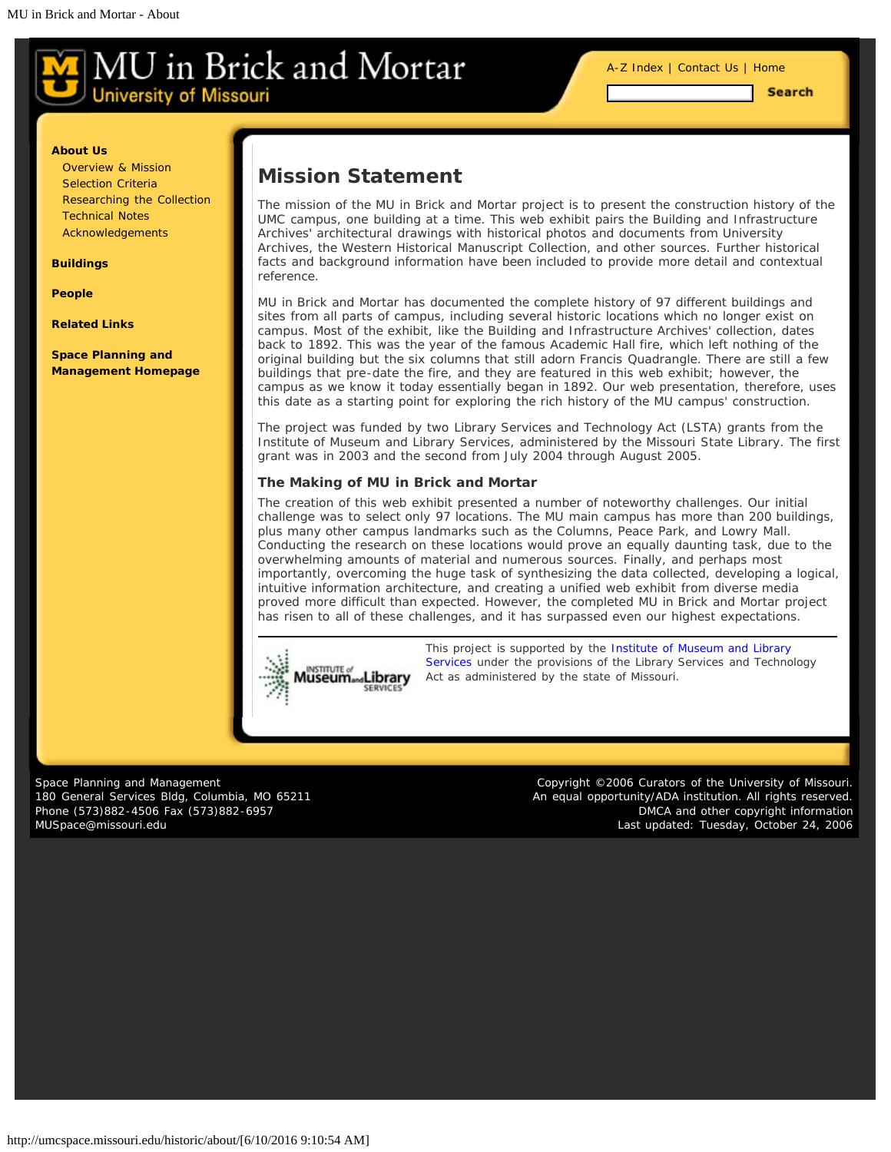[A-Z Index](#page-1-0) | [Contact Us](#page-2-0) | [Home](#page-0-0)

**Search** 

#### <span id="page-3-0"></span>**[About Us](#page-3-0)**

[Overview & Mission](#page-3-0) [Selection Criteria](#page-4-0) [Researching the Collection](#page-5-0) [Technical Notes](#page-6-0) [Acknowledgements](#page-8-0)

**[Buildings](#page-3-0)**

**[People](#page-3-0)**

**[Related Links](#page-18-0)**

**[Space Planning and](http://www.cf.missouri.edu/spm) [Management Homepage](http://www.cf.missouri.edu/spm)**

### **Mission Statement**

The mission of the MU in Brick and Mortar project is to present the construction history of the UMC campus, one building at a time. This web exhibit pairs the Building and Infrastructure Archives' architectural drawings with historical photos and documents from University Archives, the Western Historical Manuscript Collection, and other sources. Further historical facts and background information have been included to provide more detail and contextual reference.

MU in Brick and Mortar has documented the complete history of 97 different buildings and sites from all parts of campus, including several historic locations which no longer exist on campus. Most of the exhibit, like the Building and Infrastructure Archives' collection, dates back to 1892. This was the year of the famous Academic Hall fire, which left nothing of the original building but the six columns that still adorn Francis Quadrangle. There are still a few buildings that pre-date the fire, and they are featured in this web exhibit; however, the campus as we know it today essentially began in 1892. Our web presentation, therefore, uses this date as a starting point for exploring the rich history of the MU campus' construction.

The project was funded by two Library Services and Technology Act (LSTA) grants from the Institute of Museum and Library Services, administered by the Missouri State Library. The first grant was in 2003 and the second from July 2004 through August 2005.

#### *The Making of MU in Brick and Mortar*

The creation of this web exhibit presented a number of noteworthy challenges. Our initial challenge was to select only 97 locations. The MU main campus has more than 200 buildings, plus many other campus landmarks such as the Columns, Peace Park, and Lowry Mall. Conducting the research on these locations would prove an equally daunting task, due to the overwhelming amounts of material and numerous sources. Finally, and perhaps most importantly, overcoming the huge task of synthesizing the data collected, developing a logical, intuitive information architecture, and creating a unified web exhibit from diverse media proved more difficult than expected. However, the completed MU in Brick and Mortar project has risen to all of these challenges, and it has surpassed even our highest expectations.



*[T](http://www.imls.gov/)his project is supported by the [Institute of Museum and Library](http://www.imls.gov/) [Services](http://www.imls.gov/) under the provisions of the Library Services and Technology Act as administered by the state of Missouri.*

Space Planning and Management 180 General Services Bldg, Columbia, MO 65211 Phone (573)882-4506 Fax (573)882-6957 [MUSpace@missouri.edu](mailto:MUSpace@missouri.edu)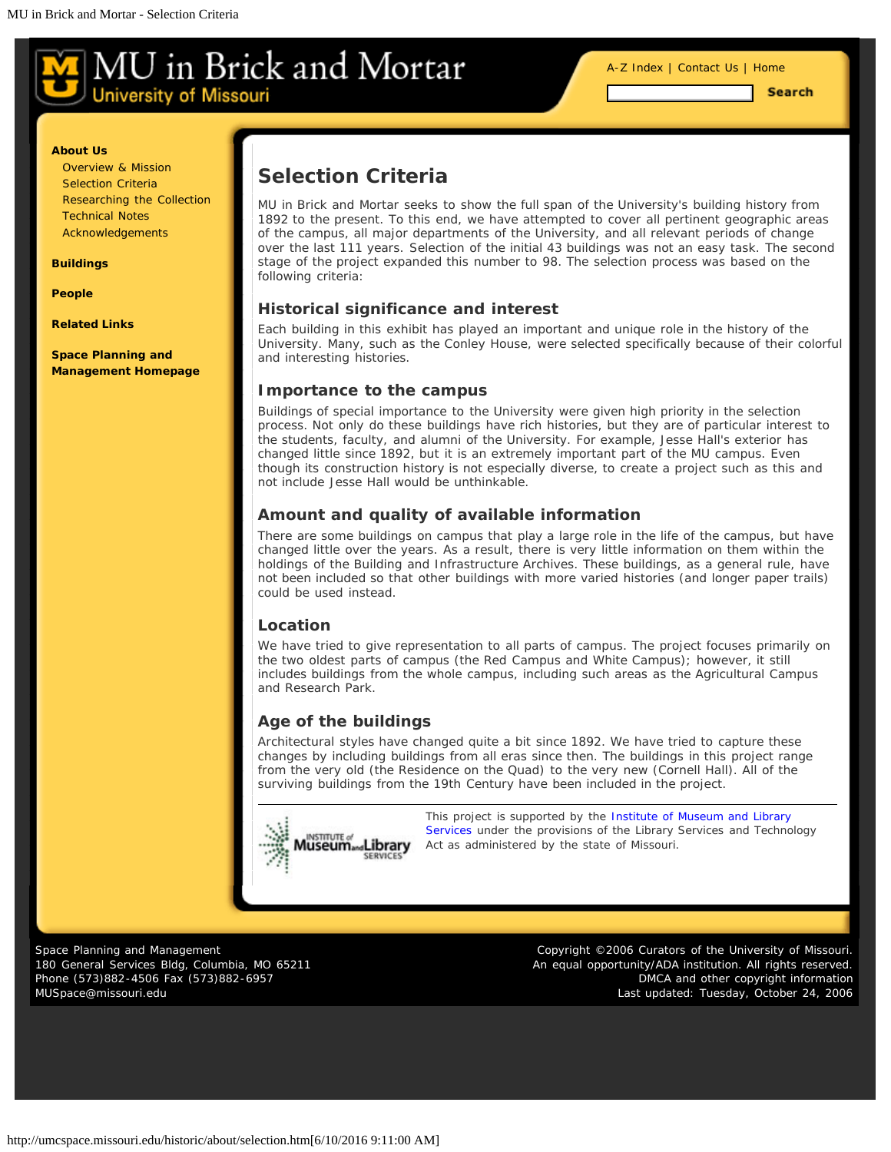[A-Z Index](#page-1-0) | [Contact Us](#page-2-0) | [Home](#page-0-0)

**Search** 

#### <span id="page-4-0"></span>**[About Us](#page-4-0)**

[Overview & Mission](#page-3-0) [Selection Criteria](#page-4-0) [Researching the Collection](#page-5-0) [Technical Notes](#page-6-0) [Acknowledgements](#page-8-0)

**[Buildings](#page-4-0)**

**[People](#page-4-0)**

**[Related Links](#page-18-0)**

**[Space Planning and](http://www.cf.missouri.edu/spm) [Management Homepage](http://www.cf.missouri.edu/spm)**

## **Selection Criteria**

MU in Brick and Mortar seeks to show the full span of the University's building history from 1892 to the present. To this end, we have attempted to cover all pertinent geographic areas of the campus, all major departments of the University, and all relevant periods of change over the last 111 years. Selection of the initial 43 buildings was not an easy task. The second stage of the project expanded this number to 98. The selection process was based on the following criteria:

#### **Historical significance and interest**

Each building in this exhibit has played an important and unique role in the history of the University. Many, such as the Conley House, were selected specifically because of their colorful and interesting histories.

#### **Importance to the campus**

Buildings of special importance to the University were given high priority in the selection process. Not only do these buildings have rich histories, but they are of particular interest to the students, faculty, and alumni of the University. For example, Jesse Hall's exterior has changed little since 1892, but it is an extremely important part of the MU campus. Even though its construction history is not especially diverse, to create a project such as this and not include Jesse Hall would be unthinkable.

#### **Amount and quality of available information**

There are some buildings on campus that play a large role in the life of the campus, but have changed little over the years. As a result, there is very little information on them within the holdings of the Building and Infrastructure Archives. These buildings, as a general rule, have not been included so that other buildings with more varied histories (and longer paper trails) could be used instead.

#### **Location**

We have tried to give representation to all parts of campus. The project focuses primarily on the two oldest parts of campus (the Red Campus and White Campus); however, it still includes buildings from the whole campus, including such areas as the Agricultural Campus and Research Park.

### **Age of the buildings**

Architectural styles have changed quite a bit since 1892. We have tried to capture these changes by including buildings from all eras since then. The buildings in this project range from the very old (the Residence on the Quad) to the very new (Cornell Hall). All of the surviving buildings from the 19th Century have been included in the project.

**STITUTE** luseum....Library

*[T](http://www.imls.gov/)his project is supported by the [Institute of Museum and Library](http://www.imls.gov/) [Services](http://www.imls.gov/) under the provisions of the Library Services and Technology Act as administered by the state of Missouri.*

Space Planning and Management 180 General Services Bldg, Columbia, MO 65211 Phone (573)882-4506 Fax (573)882-6957 [MUSpace@missouri.edu](mailto:MUSpace@missouri.edu)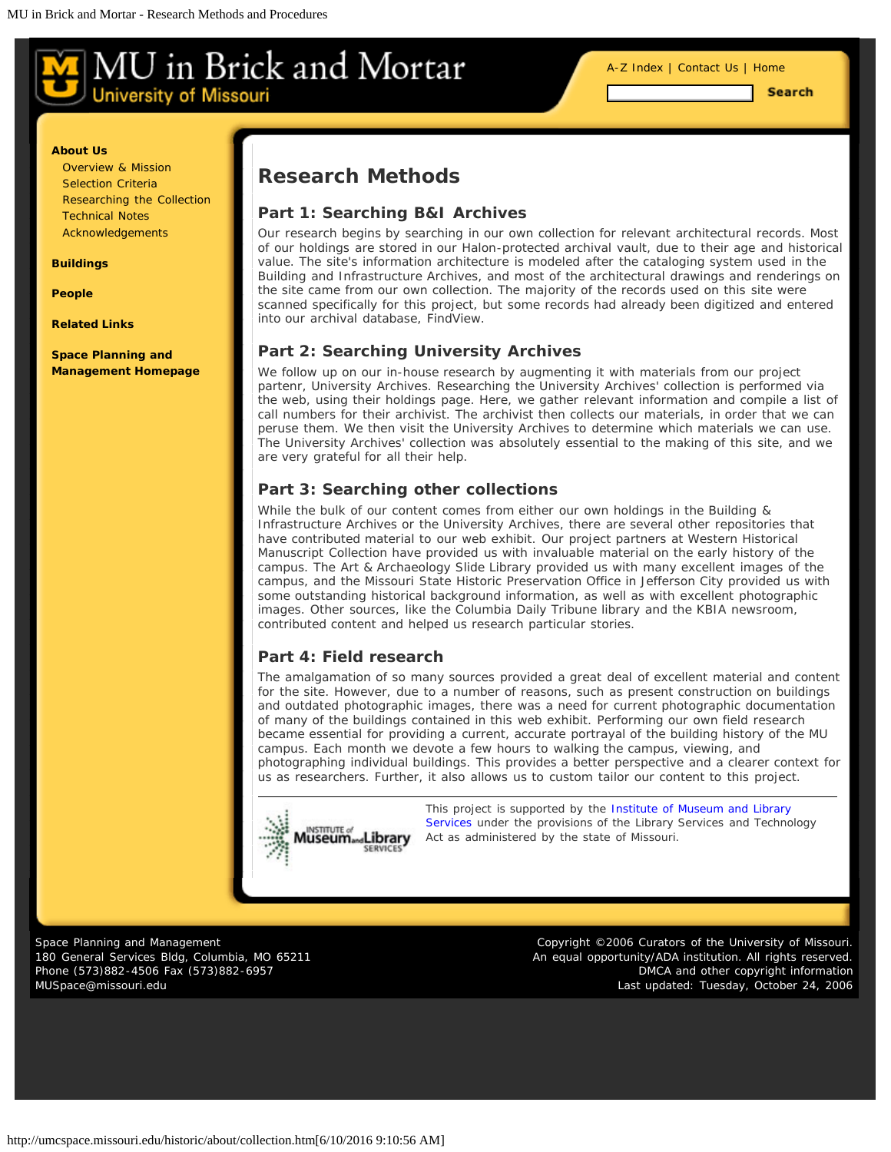[A-Z Index](#page-1-0) | [Contact Us](#page-2-0) | [Home](#page-0-0)

**Search** 

#### <span id="page-5-0"></span>**[About Us](#page-5-0)**

[Overview & Mission](#page-3-0) [Selection Criteria](#page-4-0) [Researching the Collection](#page-5-0) [Technical Notes](#page-6-0) [Acknowledgements](#page-8-0)

#### **[Buildings](#page-5-0)**

**[People](#page-5-0)**

**[Related Links](#page-18-0)**

#### **[Space Planning and](http://www.cf.missouri.edu/spm) [Management Homepage](http://www.cf.missouri.edu/spm)**

### **Research Methods**

#### **Part 1: Searching B&I Archives**

Our research begins by searching in our own collection for relevant architectural records. Most of our holdings are stored in our Halon-protected archival vault, due to their age and historical value. The site's information architecture is modeled after the cataloging system used in the Building and Infrastructure Archives, and most of the architectural drawings and renderings on the site came from our own collection. The majority of the records used on this site were scanned specifically for this project, but some records had already been digitized and entered into our archival database, FindView.

#### **Part 2: Searching University Archives**

We follow up on our in-house research by augmenting it with materials from our project partenr, University Archives. Researching the University Archives' collection is performed via the web, using their holdings page. Here, we gather relevant information and compile a list of call numbers for their archivist. The archivist then collects our materials, in order that we can peruse them. We then visit the University Archives to determine which materials we can use. The University Archives' collection was absolutely essential to the making of this site, and we are very grateful for all their help.

#### **Part 3: Searching other collections**

While the bulk of our content comes from either our own holdings in the Building & Infrastructure Archives or the University Archives, there are several other repositories that have contributed material to our web exhibit. Our project partners at Western Historical Manuscript Collection have provided us with invaluable material on the early history of the campus. The Art & Archaeology Slide Library provided us with many excellent images of the campus, and the Missouri State Historic Preservation Office in Jefferson City provided us with some outstanding historical background information, as well as with excellent photographic images. Other sources, like the Columbia Daily Tribune library and the KBIA newsroom, contributed content and helped us research particular stories.

#### **Part 4: Field research**

The amalgamation of so many sources provided a great deal of excellent material and content for the site. However, due to a number of reasons, such as present construction on buildings and outdated photographic images, there was a need for current photographic documentation of many of the buildings contained in this web exhibit. Performing our own field research became essential for providing a current, accurate portrayal of the building history of the MU campus. Each month we devote a few hours to walking the campus, viewing, and photographing individual buildings. This provides a better perspective and a clearer context for us as researchers. Further, it also allows us to custom tailor our content to this project.



*[T](http://www.imls.gov/)his project is supported by the [Institute of Museum and Library](http://www.imls.gov/) [Services](http://www.imls.gov/) under the provisions of the Library Services and Technology Act as administered by the state of Missouri.*

Space Planning and Management 180 General Services Bldg, Columbia, MO 65211 Phone (573)882-4506 Fax (573)882-6957 [MUSpace@missouri.edu](mailto:MUSpace@missouri.edu)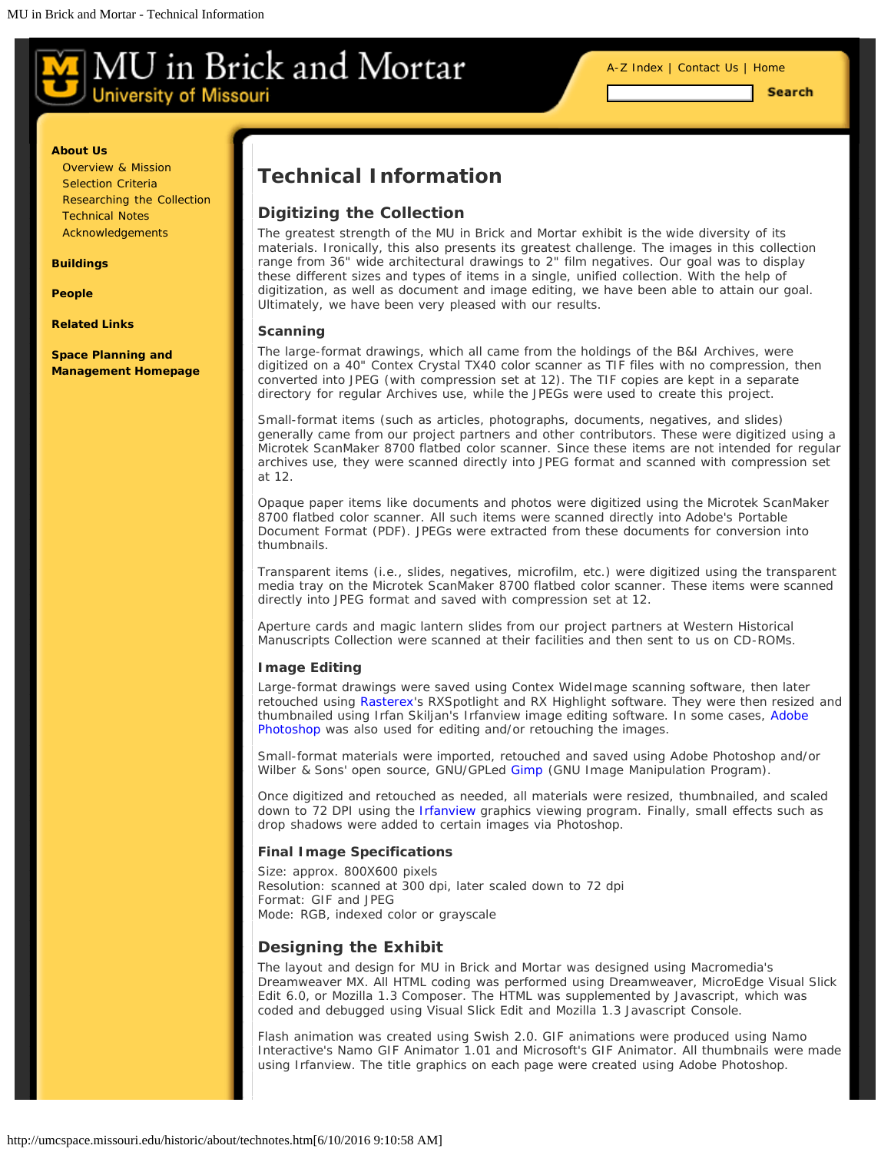[A-Z Index](#page-1-0) | [Contact Us](#page-2-0) | [Home](#page-0-0)

**Search** 

#### <span id="page-6-0"></span>**[About Us](#page-6-0)**

[Overview & Mission](#page-3-0) [Selection Criteria](#page-4-0) [Researching the Collection](#page-5-0) [Technical Notes](#page-6-0) [Acknowledgements](#page-8-0)

**[Buildings](#page-6-0)**

**[People](#page-6-0)**

**[Related Links](#page-18-0)**

**[Space Planning and](http://www.cf.missouri.edu/spm) [Management Homepage](http://www.cf.missouri.edu/spm)**

# **Technical Information**

#### **Digitizing the Collection**

The greatest strength of the MU in Brick and Mortar exhibit is the wide diversity of its materials. Ironically, this also presents its greatest challenge. The images in this collection range from 36" wide architectural drawings to 2" film negatives. Our goal was to display these different sizes and types of items in a single, unified collection. With the help of digitization, as well as document and image editing, we have been able to attain our goal. Ultimately, we have been very pleased with our results.

#### *Scanning*

The large-format drawings, which all came from the holdings of the B&I Archives, were digitized on a 40" Contex Crystal TX40 color scanner as TIF files with no compression, then converted into JPEG (with compression set at 12). The TIF copies are kept in a separate directory for regular Archives use, while the JPEGs were used to create this project.

Small-format items (such as articles, photographs, documents, negatives, and slides) generally came from our project partners and other contributors. These were digitized using a Microtek ScanMaker 8700 flatbed color scanner. Since these items are not intended for regular archives use, they were scanned directly into JPEG format and scanned with compression set at 12.

Opaque paper items like documents and photos were digitized using the Microtek ScanMaker 8700 flatbed color scanner. All such items were scanned directly into Adobe's Portable Document Format (PDF). JPEGs were extracted from these documents for conversion into thumbnails.

Transparent items (i.e., slides, negatives, microfilm, etc.) were digitized using the transparent media tray on the Microtek ScanMaker 8700 flatbed color scanner. These items were scanned directly into JPEG format and saved with compression set at 12.

Aperture cards and magic lantern slides from our project partners at Western Historical Manuscripts Collection were scanned at their facilities and then sent to us on CD-ROMs.

#### *Image Editing*

Large-format drawings were saved using Contex WideImage scanning software, then later retouched using [Rasterex'](http://www.rasterex.com/)s RXSpotlight and RX Highlight software. They were then resized and thumbnailed using Irfan Skiljan's Irfanview image editing software. In some cases, [Adobe](http://www.adobe.com/products/photoshop/main.html) [Photoshop](http://www.adobe.com/products/photoshop/main.html) was also used for editing and/or retouching the images.

Small-format materials were imported, retouched and saved using Adobe Photoshop and/or Wilber & Sons' open source, GNU/GPLed [Gimp](http://www.gimp.org/) (GNU Image Manipulation Program).

Once digitized and retouched as needed, all materials were resized, thumbnailed, and scaled down to 72 DPI using the [Irfanview](http://www.irfanview.com/) graphics viewing program. Finally, small effects such as drop shadows were added to certain images via Photoshop.

#### *Final Image Specifications*

Size: approx. 800X600 pixels Resolution: scanned at 300 dpi, later scaled down to 72 dpi Format: GIF and JPEG Mode: RGB, indexed color or grayscale

#### **Designing the Exhibit**

The layout and design for MU in Brick and Mortar was designed using Macromedia's Dreamweaver MX. All HTML coding was performed using Dreamweaver, MicroEdge Visual Slick Edit 6.0, or Mozilla 1.3 Composer. The HTML was supplemented by Javascript, which was coded and debugged using Visual Slick Edit and Mozilla 1.3 Javascript Console.

Flash animation was created using Swish 2.0. GIF animations were produced using Namo Interactive's Namo GIF Animator 1.01 and Microsoft's GIF Animator. All thumbnails were made using Irfanview. The title graphics on each page were created using Adobe Photoshop.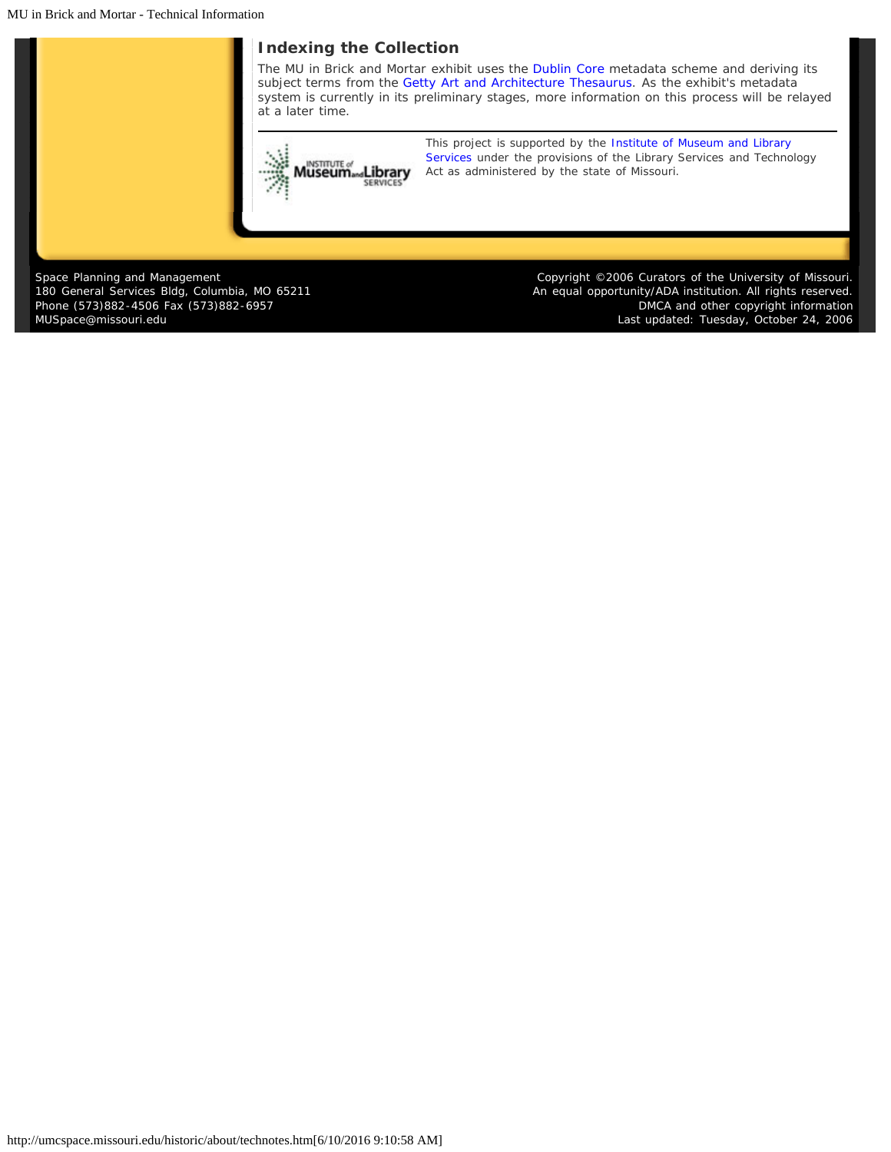MU in Brick and Mortar - Technical Information

### **Indexing the Collection**

The MU in Brick and Mortar exhibit uses the [Dublin Core](http://www.dublincore.org/) metadata scheme and deriving its subject terms from the [Getty Art and Architecture Thesaurus.](http://www.getty.edu/research/tools/vocabulary/aat/) As the exhibit's metadata system is currently in its preliminary stages, more information on this process will be relayed at a later time.



*[T](http://www.imls.gov/)his project is supported by the [Institute of Museum and Library](http://www.imls.gov/) [Services](http://www.imls.gov/) under the provisions of the Library Services and Technology Act as administered by the state of Missouri.*

Space Planning and Management 180 General Services Bldg, Columbia, MO 65211 Phone (573)882-4506 Fax (573)882-6957 [MUSpace@missouri.edu](mailto:MUSpace@missouri.edu)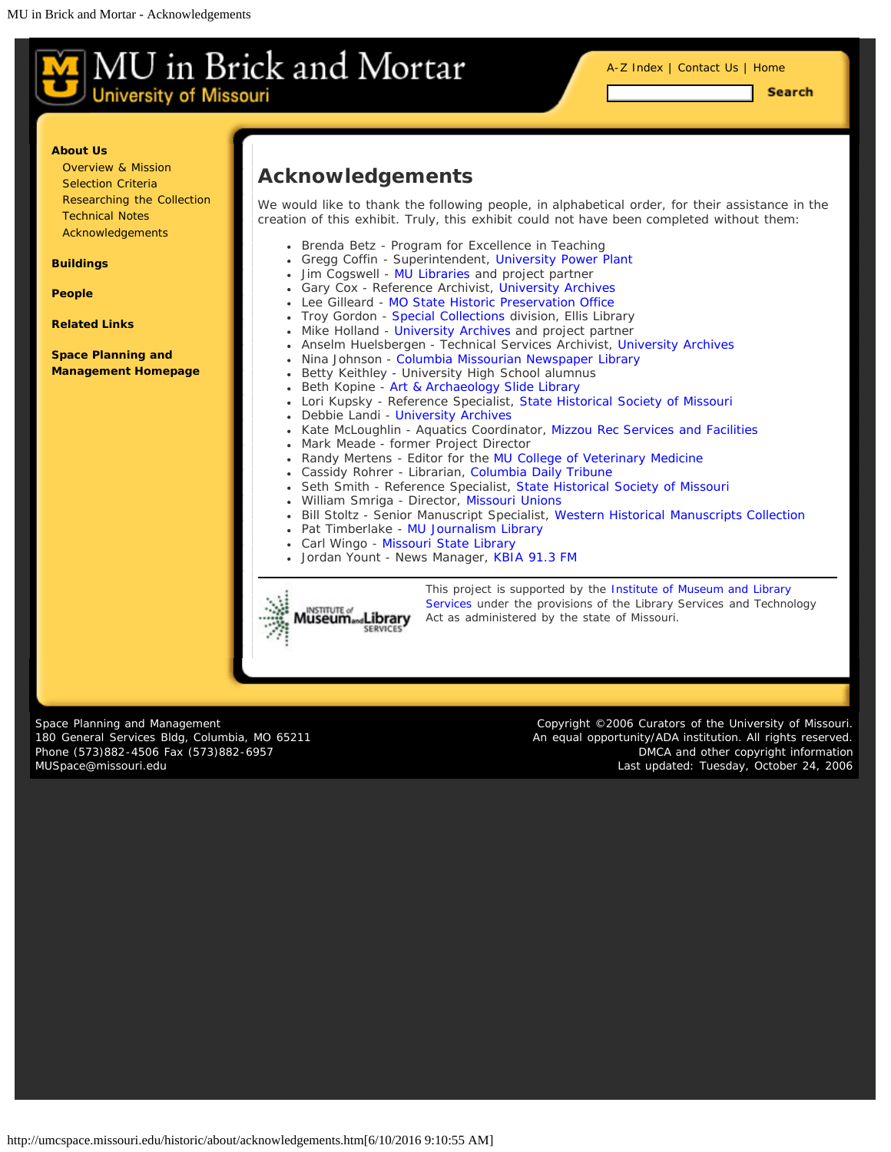<span id="page-8-0"></span>

[A-Z Index](#page-1-0) | [Contact Us](#page-2-0) | [Home](#page-0-0)

**Search** 

#### **[About Us](#page-8-0)**

[Overview & Mission](#page-3-0) [Selection Criteria](#page-4-0) [Researching the Collection](#page-5-0) [Technical Notes](#page-6-0) [Acknowledgements](#page-8-0)

**[Buildings](#page-8-0)**

**[People](#page-8-0)**

**[Related Links](#page-18-0)**

**[Space Planning and](http://www.cf.missouri.edu/spm) [Management Homepage](http://www.cf.missouri.edu/spm)**

## **Acknowledgements**

We would like to thank the following people, in alphabetical order, for their assistance in the creation of this exhibit. Truly, this exhibit could not have been completed without them:

- Brenda Betz Program for Excellence in Teaching
- $\bullet$ Gregg Coffin - Superintendent, [University Power Plant](http://www.cf.missouri.edu/energy/)
- Jim Cogswell [MU Libraries](http://mulibraries.missouri.edu/) and project partner
- Gary Cox Reference Archivist, [University Archives](http://muarchives.missouri.edu/)
- Lee Gilleard - [MO State Historic Preservation Office](http://www.dnr.mo.gov/shpo/)
- Troy Gordon [Special Collections d](http://mulibraries.missouri.edu/specialcollections/)ivision, Ellis Library
- Mike Holland [University Archives](http://muarchives.missouri.edu/) and project partner
- Anselm Huelsbergen Technical Services Archivist, [University Archives](http://muarchives.missouri.edu/)
- Nina Johnson [Columbia Missourian Newspaper Library](http://mulibraries.missouri.edu/missourian/)
- Betty Keithley University High School alumnus
- Beth Kopine [Art & Archaeology Slide Library](http://aha.missouri.edu/resources/VRC.html)
- Lori Kupsky Reference Specialist, [State Historical Society of Missouri](http://www.umsystem.edu/shs/)
- Debbie Landi [University Archives](http://muarchives.missouri.edu/)
- Kate McLoughlin Aquatics Coordinator, [Mizzou Rec Services and Facilities](http://www.mizzourec.com/)
- Mark Meade former Project Director
- Randy Mertens Editor for the [MU College of Veterinary Medicine](http://www.cvm.missouri.edu/)
- Cassidy Rohrer Librarian, [Columbia Daily Tribune](http://www.showmenews.com/)
- Seth Smith Reference Specialist, [State Historical Society of Missouri](http://www.umsystem.edu/shs/)
- William Smriga Director, [Missouri Unions](http://unions.missouri.edu/)
- Bill Stoltz Senior Manuscript Specialist, [Western Historical Manuscripts Collection](http://www.umsystem.edu/ums/aa/units-manuscripts/)
- Pat Timberlake [MU Journalism Library](http://mulibraries.missouri.edu/journalism/)
- Carl Wingo [Missouri State Library](http://www.sos.mo.gov/library/)
- Jordan Yount News Manager, [KBIA 91.3 FM](http://www.kbia.org/)



*[T](http://www.imls.gov/)his project is supported by the [Institute of Museum and Library](http://www.imls.gov/) [Services](http://www.imls.gov/) under the provisions of the Library Services and Technology Act as administered by the state of Missouri.*

Space Planning and Management 180 General Services Bldg, Columbia, MO 65211 Phone (573)882-4506 Fax (573)882-6957 [MUSpace@missouri.edu](mailto:MUSpace@missouri.edu)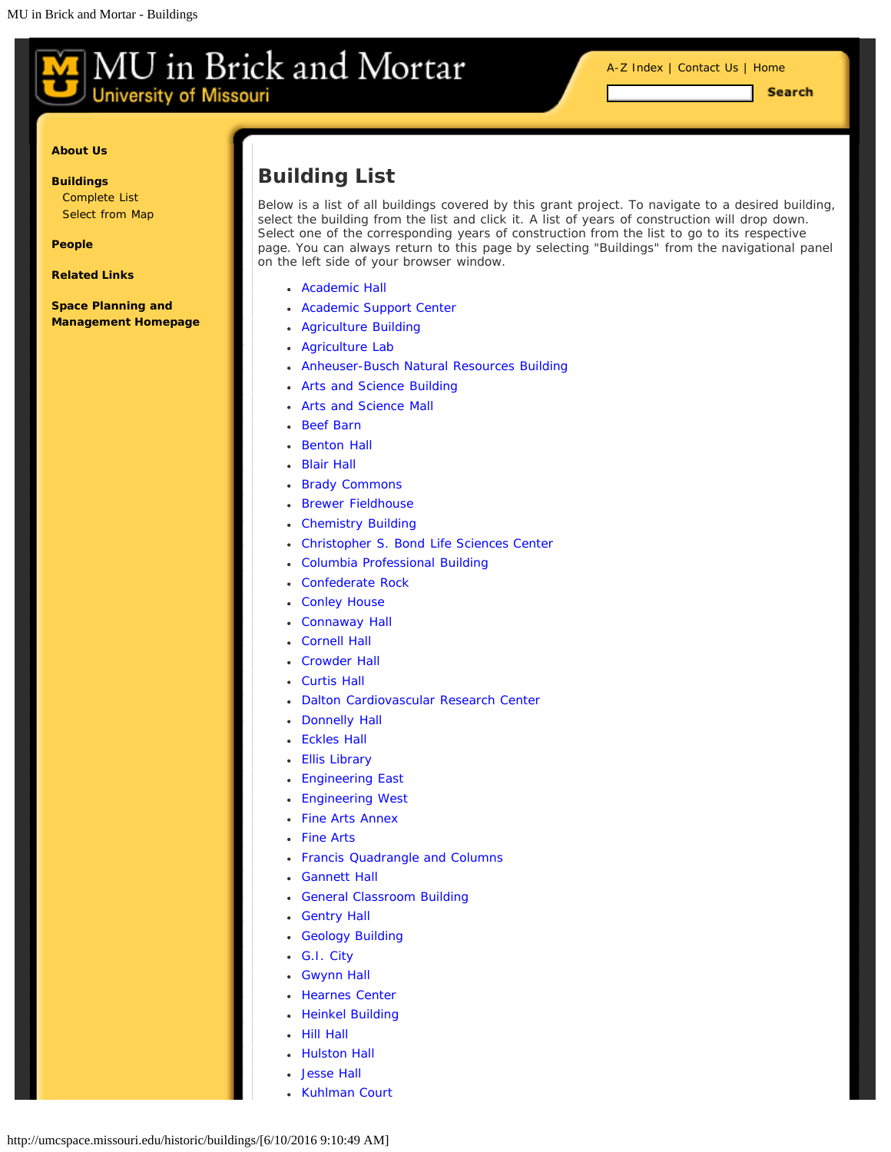<span id="page-9-0"></span>**University of Missouri** 

**Search** 

#### **[About Us](#page-9-0)**

**[Buildings](#page-9-0)** [Complete List](#page-9-0) [Select from Map](#page-12-0)

**[People](#page-9-0)**

**[Related Links](#page-18-0)**

**[Space Planning and](http://www.cf.missouri.edu/spm) [Management Homepage](http://www.cf.missouri.edu/spm)**

# **Building List**

Below is a list of all buildings covered by this grant project. To navigate to a desired building, select the building from the list and click it. A list of years of construction will drop down. Select one of the corresponding years of construction from the list to go to its respective page. You can always return to this page by selecting "Buildings" from the navigational panel on the left side of your browser window.

- [Academic Hall](#page-9-0)
- [Academic Support Center](#page-9-0)
- [Agriculture Building](#page-9-0)
- [Agriculture Lab](#page-9-0)
- [Anheuser-Busch Natural Resources Building](#page-9-0)
- [Arts and Science Building](#page-9-0)
- [Arts and Science Mall](#page-9-0)
- [Beef Barn](#page-9-0)
- [Benton Hall](#page-9-0)
- [Blair Hall](#page-9-0)
- [Brady Commons](#page-9-0)
- [Brewer Fieldhouse](#page-9-0)
- [Chemistry Building](#page-9-0)
- [Christopher S. Bond Life Sciences Center](#page-9-0)
- [Columbia Professional Building](#page-9-0)
- [Confederate Rock](#page-9-0)
- [Conley House](#page-9-0)
- [Connaway Hall](#page-9-0)
- [Cornell Hall](#page-9-0)
- [Crowder Hall](#page-9-0)
- [Curtis Hall](#page-9-0)
- [Dalton Cardiovascular Research Center](#page-9-0)
- [Donnelly Hall](#page-9-0)
- [Eckles Hall](#page-9-0)
- [Ellis Library](#page-9-0)
- [Engineering East](#page-9-0)
- [Engineering West](#page-9-0)
- [Fine Arts Annex](#page-9-0)
- [Fine Arts](#page-9-0)
- [Francis Quadrangle and Columns](#page-9-0)
- [Gannett Hall](#page-9-0)
- [General Classroom Building](#page-9-0)
- [Gentry Hall](#page-9-0)
- [Geology Building](#page-9-0)
- [G.I. City](#page-9-0)
- [Gwynn Hall](#page-9-0)
- [Hearnes Center](#page-9-0)
- [Heinkel Building](#page-9-0)
- [Hill Hall](#page-9-0)
- [Hulston Hall](#page-9-0)
- [Jesse Hall](#page-9-0)
- [Kuhlman Court](#page-9-0)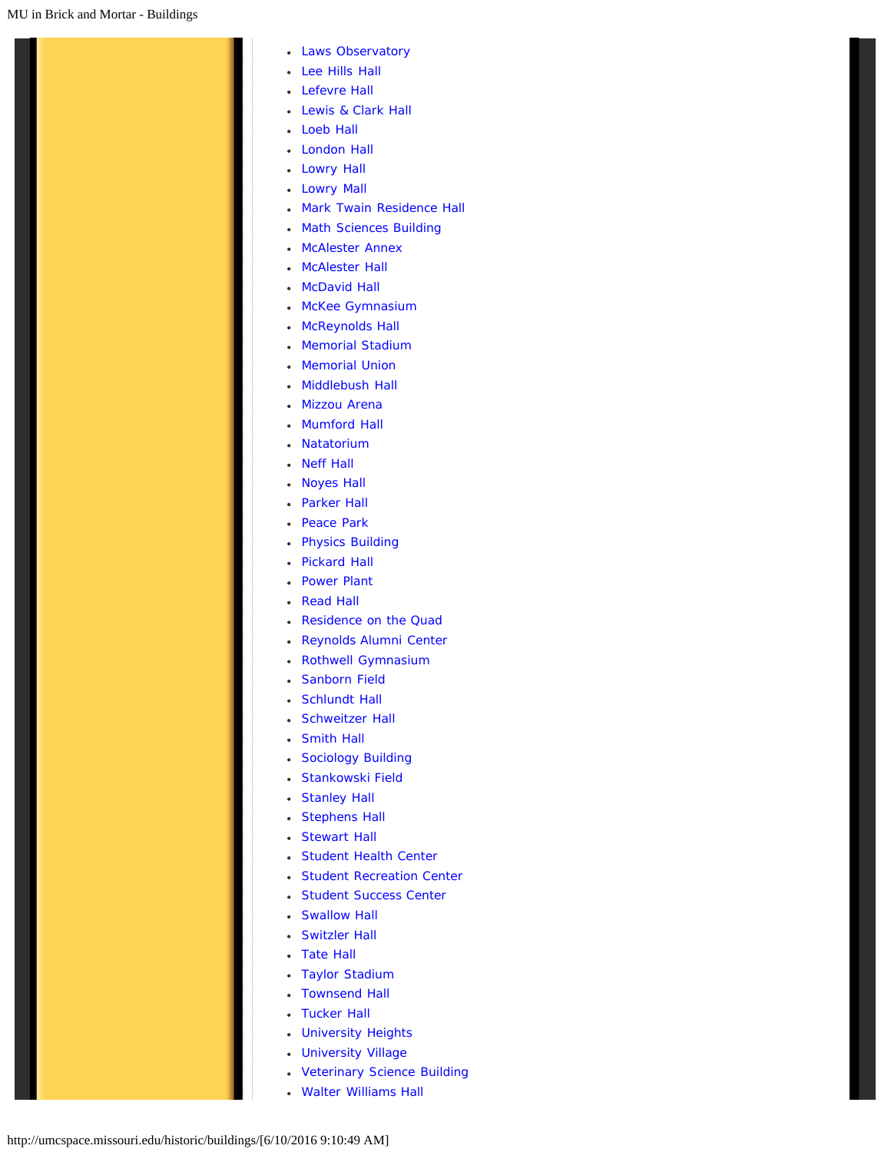- [Laws Observatory](#page-9-0)
- [Lee Hills Hall](#page-9-0)
- [Lefevre Hall](#page-9-0)
- [Lewis & Clark Hall](#page-9-0)
- [Loeb Hall](#page-9-0)
- [London Hall](#page-9-0)
- [Lowry Hall](#page-9-0)
- [Lowry Mall](#page-9-0)
- [Mark Twain Residence Hall](#page-9-0)
- [Math Sciences Building](#page-9-0)
- [McAlester Annex](#page-9-0)
- [McAlester Hall](#page-9-0)
- [McDavid Hall](#page-9-0)
- [McKee Gymnasium](#page-9-0)
- [McReynolds Hall](#page-9-0)
- [Memorial Stadium](#page-9-0)
- [Memorial Union](#page-9-0)
- [Middlebush Hall](#page-9-0)
- [Mizzou Arena](#page-9-0)
- [Mumford Hall](#page-9-0)
- [Natatorium](#page-9-0)
- [Neff Hall](#page-9-0)
- [Noyes Hall](#page-9-0)
- [Parker Hall](#page-9-0)
- [Peace Park](#page-9-0)
- [Physics Building](#page-9-0)
- [Pickard Hall](#page-9-0)
- [Power Plant](#page-9-0)
- [Read Hall](#page-9-0)
- [Residence on the Quad](#page-9-0)
- [Reynolds Alumni Center](#page-9-0)
- [Rothwell Gymnasium](#page-9-0)
- [Sanborn Field](#page-9-0)
- [Schlundt Hall](#page-9-0)
- [Schweitzer Hall](#page-9-0)
- [Smith Hall](#page-9-0)
- [Sociology Building](#page-9-0)
- [Stankowski Field](#page-9-0)
- [Stanley Hall](#page-9-0)
- [Stephens Hall](#page-9-0)
- [Stewart Hall](#page-9-0)
- [Student Health Center](#page-9-0)
- [Student Recreation Center](#page-9-0)
- [Student Success Center](#page-9-0)
- [Swallow Hall](#page-9-0)
- [Switzler Hall](#page-9-0)
- [Tate Hall](#page-9-0)
- [Taylor Stadium](#page-9-0)
- [Townsend Hall](#page-9-0)
- [Tucker Hall](#page-9-0)
- [University Heights](#page-9-0)
- [University Village](#page-9-0)
- [Veterinary Science Building](#page-9-0)
- [Walter Williams Hall](#page-9-0)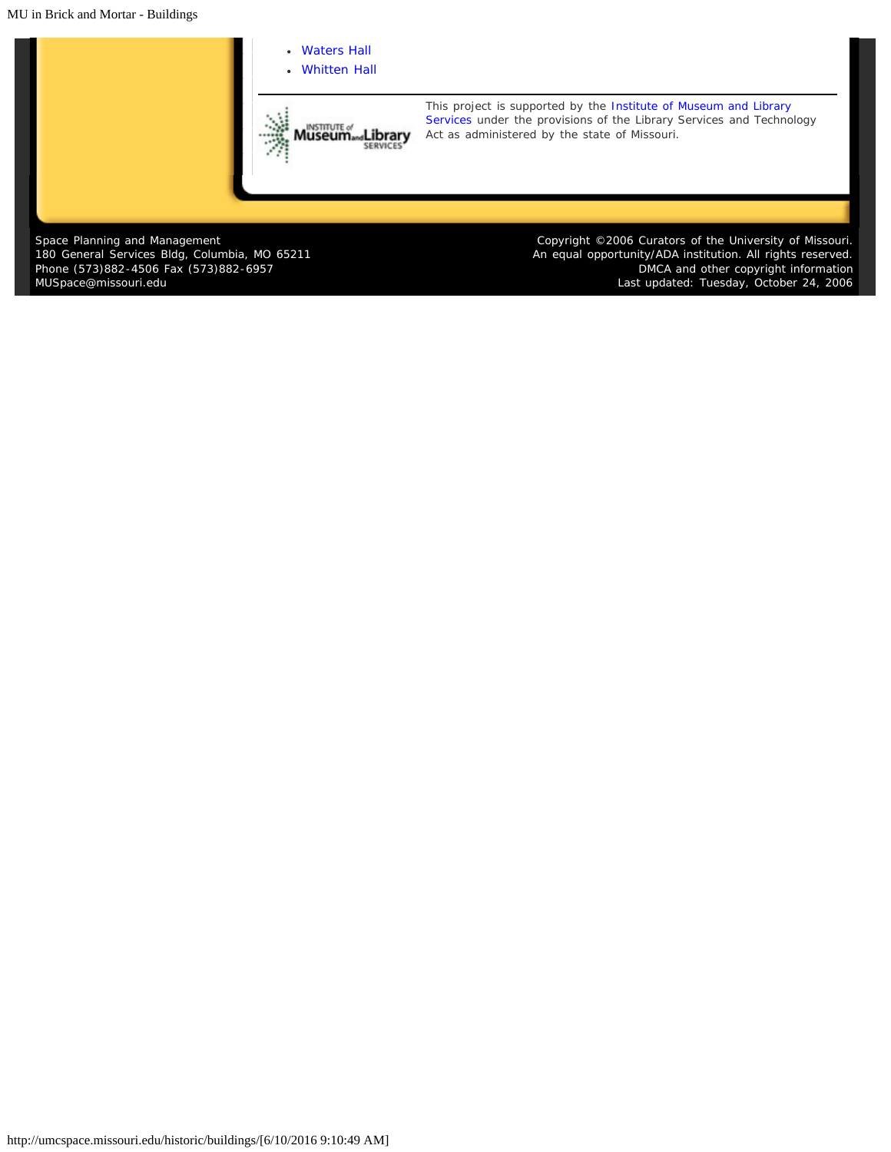MU in Brick and Mortar - Buildings



Space Planning and Management 180 General Services Bldg, Columbia, MO 65211 Phone (573)882-4506 Fax (573)882-6957 [MUSpace@missouri.edu](mailto:MUSpace@missouri.edu)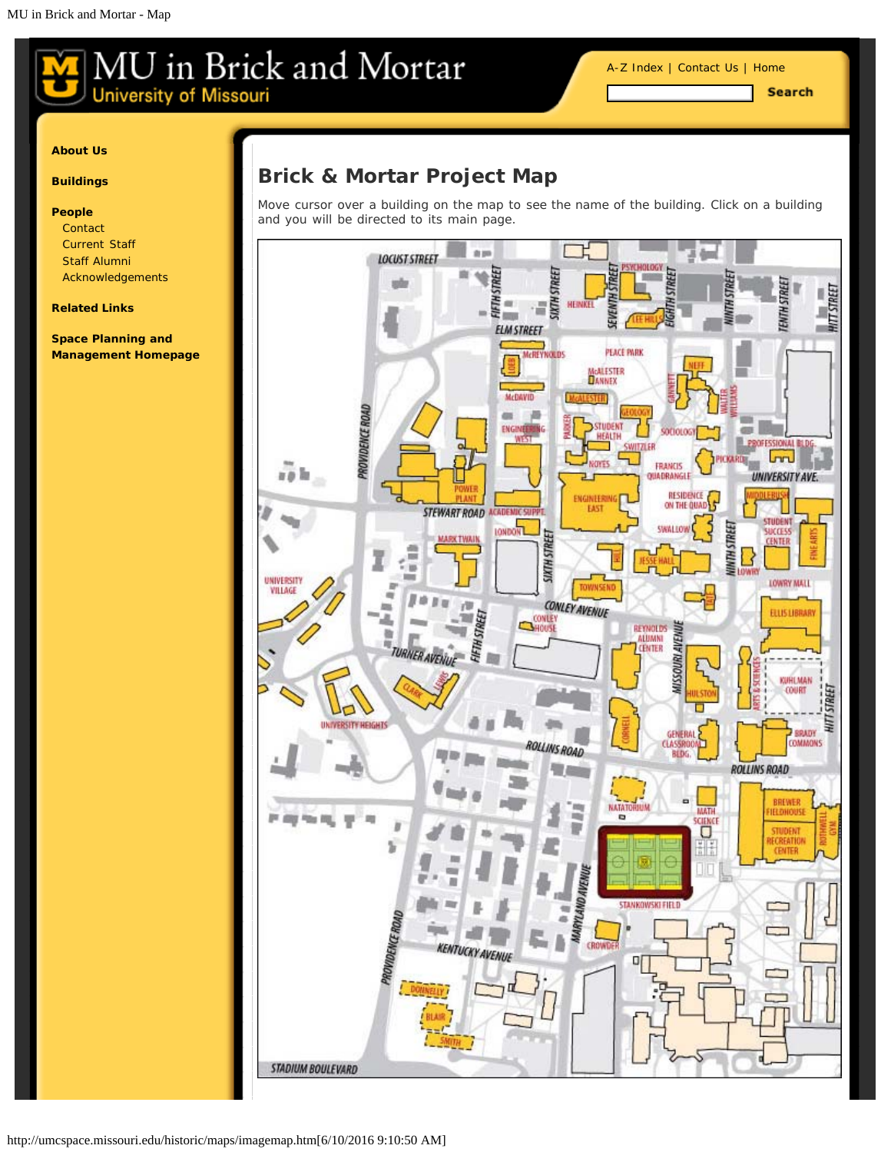[A-Z Index](#page-1-0) | [Contact Us](#page-2-0) | [Home](#page-0-0)

**Search** 

#### <span id="page-12-0"></span>**[About Us](#page-12-0)**

#### **[Buildings](#page-12-0)**

#### **[People](#page-12-0)**

**[Contact](#page-2-0)** [Current Staff](#page-15-0) [Staff Alumni](#page-16-0) [Acknowledgements](#page-8-0)

#### **[Related Links](#page-18-0)**

**[Space Planning and](http://www.cf.missouri.edu/spm) [Management Homepage](http://www.cf.missouri.edu/spm)**

# **Brick & Mortar Project Map**

Move cursor over a building on the map to see the name of the building. Click on a building and you will be directed to its main page.

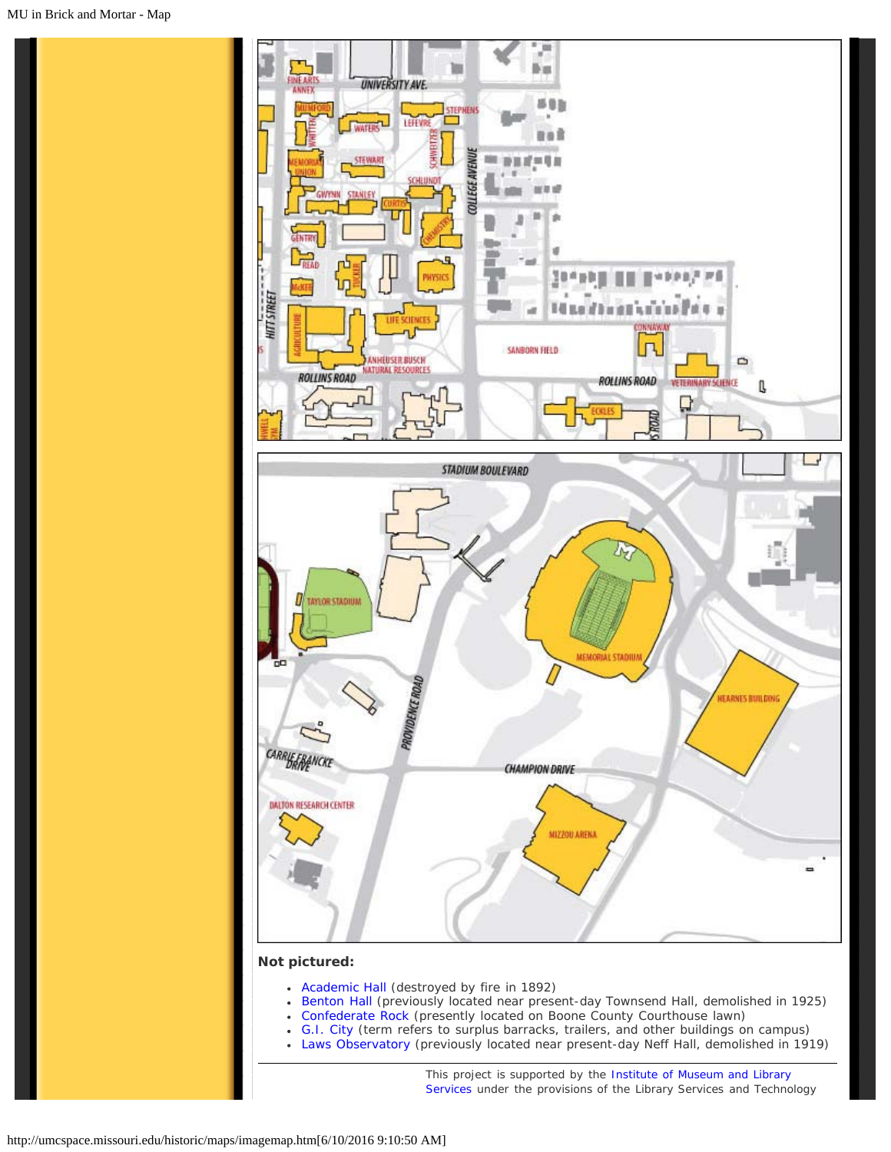

- [Academic Hall](http://umcspace.missouri.edu/historic/buildings/FineArtsAnnex/) [\(de](http://umcspace.missouri.edu/historic/buildings/Mumford/)[st](http://umcspace.missouri.edu/historic/buildings/Gwynn/)[royed b](http://umcspace.missouri.edu/historic/buildings/Stanley/)[y](http://umcspace.missouri.edu/historic/buildings/Stewart/) [fire in 189](http://umcspace.missouri.edu/historic/buildings/LifeSciences/)2)
- [Benton Hall](http://umcspace.missouri.edu/historic/buildings/benton/) (pr[eviously located near pres](http://umcspace.missouri.edu/historic/buildings/Lefevre/)[ent-d](http://umcspace.missouri.edu/historic/buildings/Stephens/)[ay Townsend Hall, demolished i](http://umcspace.missouri.edu/historic/buildings/Eckles/)[n](http://umcspace.missouri.edu/historic/buildings/MizzouArena/) 1925)
- [Confederate Rock](http://umcspace.missouri.edu/historic/buildings/ConfederateRock/) (presently located on Boone County Courthouse lawn)
- [G.I. City](http://umcspace.missouri.edu/historic/buildings/GICity/) (term refers to surplus barracks, trailers, and other buildings on campus)
- [Laws Observatory](http://umcspace.missouri.edu/historic/buildings/LawsObservatory/) (previously locate[d near present-day](http://umcspace.missouri.edu/historic/buildings/Stadium/) [Neff H](http://umcspace.missouri.edu/historic/buildings/Connaway/)[all, demolished in 1919\)](http://umcspace.missouri.edu/historic/buildings/VetScience/)

*This project is supported by the [Institute of Museum and Library](http://www.imls.gov/) [Services](http://www.imls.gov/) under the provisions of the Library Services and Technology*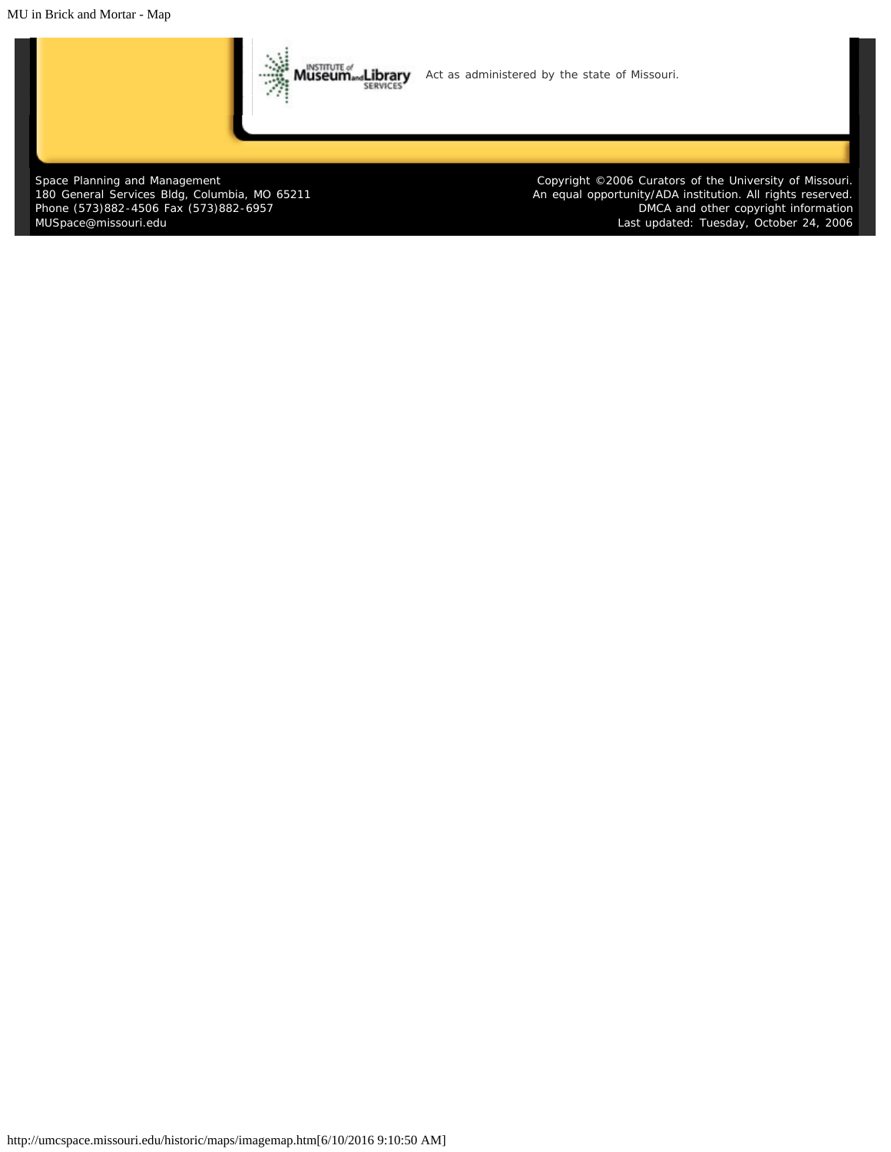MU in Brick and Mortar - Map



Space Planning and Management 180 General Services Bldg, Columbia, MO 65211 Phone (573)882-4506 Fax (573)882-6957 [MUSpace@missouri.edu](mailto:MUSpace@missouri.edu)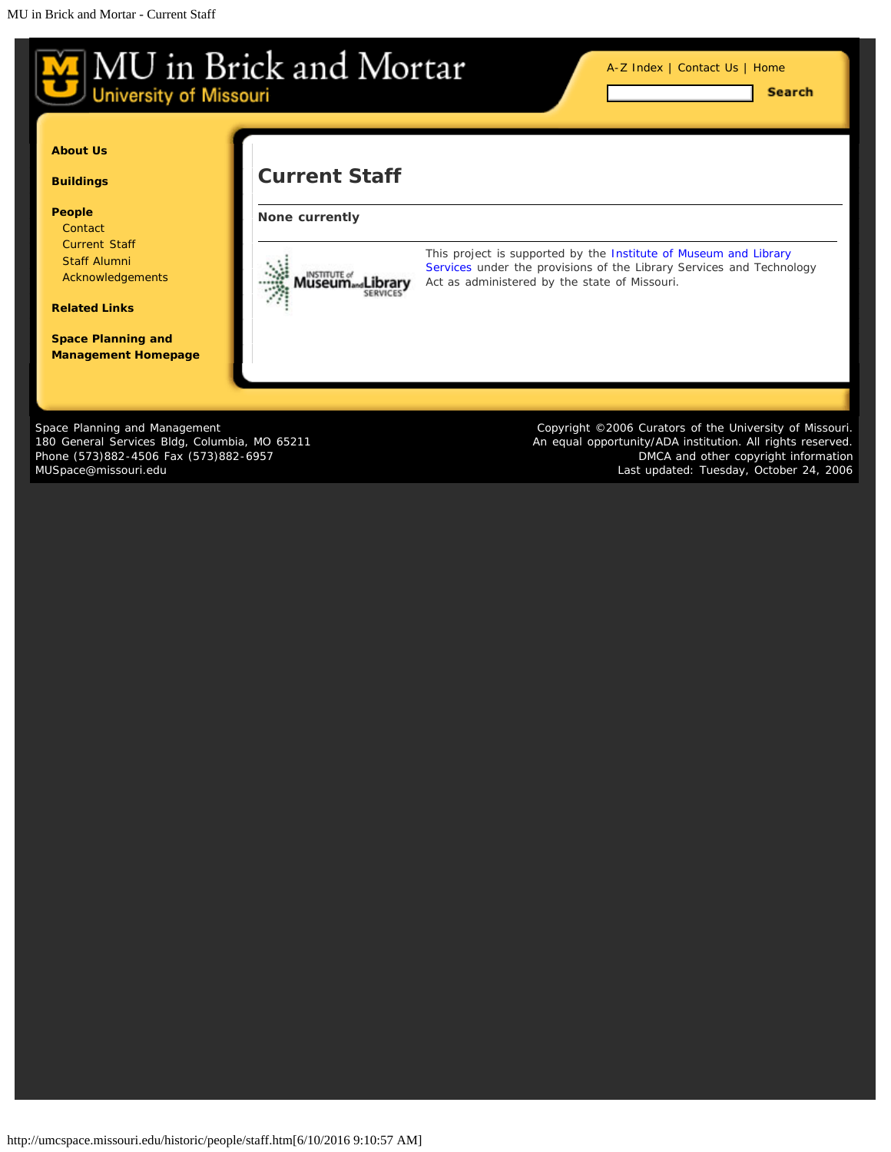<span id="page-15-0"></span>

Space Planning and Management 180 General Services Bldg, Columbia, MO 65211 Phone (573)882-4506 Fax (573)882-6957 [MUSpace@missouri.edu](mailto:MUSpace@missouri.edu)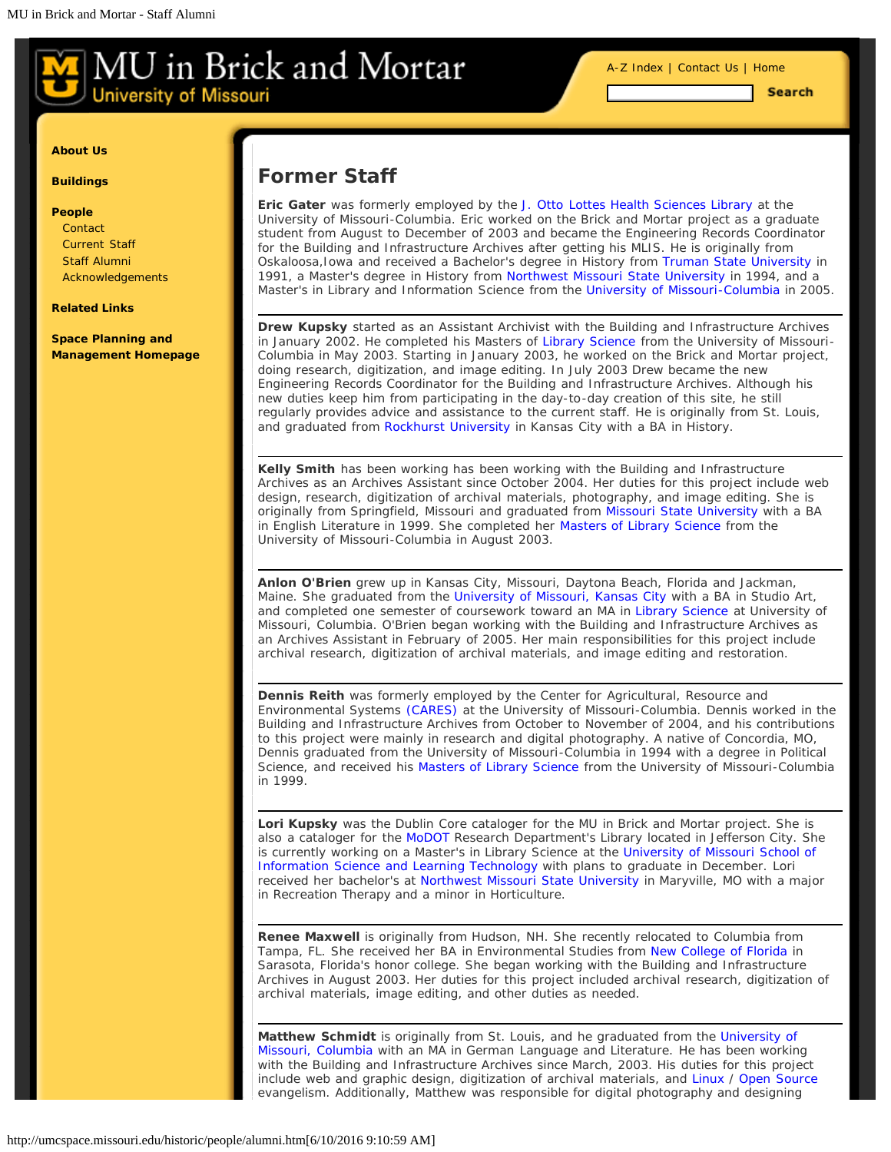[A-Z Index](#page-1-0) | [Contact Us](#page-2-0) | [Home](#page-0-0)

**Search** 

#### <span id="page-16-0"></span>**[About Us](#page-16-0)**

**[Buildings](#page-16-0)**

#### **[People](#page-16-0)**

**[Contact](#page-2-0)** [Current Staff](#page-15-0) [Staff Alumni](#page-16-0) [Acknowledgements](#page-8-0)

#### **[Related Links](#page-18-0)**

**[Space Planning and](http://www.cf.missouri.edu/spm) [Management Homepage](http://www.cf.missouri.edu/spm)**

## **Former Staff**

**Eric Gater** was formerly employed by the [J. Otto Lottes Health Sciences Library](http://library.muhealth.org/) at the University of Missouri-Columbia. Eric worked on the Brick and Mortar project as a graduate student from August to December of 2003 and became the Engineering Records Coordinator for the Building and Infrastructure Archives after getting his MLIS. He is originally from Oskaloosa,Iowa and received a Bachelor's degree in History from [Truman State University](http://www.truman.edu/) in 1991, a Master's degree in History from [Northwest Missouri State University](http://www.nwmissouri.edu/) in 1994, and a Master's in Library and Information Science from the [University of Missouri-Columbia](http://www.missouri.edu/) in 2005.

**Drew Kupsky** started as an Assistant Archivist with the Building and Infrastructure Archives in January 2002. He completed his Masters of [Library Science](http://sislt.missouri.edu/) from the University of Missouri-Columbia in May 2003. Starting in January 2003, he worked on the Brick and Mortar project, doing research, digitization, and image editing. In July 2003 Drew became the new Engineering Records Coordinator for the Building and Infrastructure Archives. Although his new duties keep him from participating in the day-to-day creation of this site, he still regularly provides advice and assistance to the current staff. He is originally from St. Louis, and graduated from [Rockhurst University](http://www.rockhurst.edu/) in Kansas City with a BA in History.

**Kelly Smith** has been working has been working with the Building and Infrastructure Archives as an Archives Assistant since October 2004. Her duties for this project include web design, research, digitization of archival materials, photography, and image editing. She is originally from Springfield, Missouri and graduated from [Missouri State University](http://www.missouristate.edu/) with a BA in English Literature in 1999. She completed her [Masters of Library Science](http://sislt.missouri.edu/) from the University of Missouri-Columbia in August 2003.

**Anlon O'Brien** grew up in Kansas City, Missouri, Daytona Beach, Florida and Jackman, Maine. She graduated from the [University of Missouri, Kansas City](http://www.umkc.edu/) with a BA in Studio Art, and completed one semester of coursework toward an MA in [Library Science](http://sislt.missouri.edu/) at University of Missouri, Columbia. O'Brien began working with the Building and Infrastructure Archives as an Archives Assistant in February of 2005. Her main responsibilities for this project include archival research, digitization of archival materials, and image editing and restoration.

**Dennis Reith** was formerly employed by the Center for Agricultural, Resource and Environmental Systems [\(CARES\)](http://www.cares.missouri.edu/) at the University of Missouri-Columbia. Dennis worked in the Building and Infrastructure Archives from October to November of 2004, and his contributions to this project were mainly in research and digital photography. A native of Concordia, MO, Dennis graduated from the University of Missouri-Columbia in 1994 with a degree in Political Science, and received his [Masters of Library Science](http://sislt.missouri.edu/) from the University of Missouri-Columbia in 1999.

**Lori Kupsky** was the Dublin Core cataloger for the MU in Brick and Mortar project. She is also a cataloger for the [MoDOT](http://www.modot.org/) Research Department's Library located in Jefferson City. She is currently working on a Master's in Library Science at the [University of Missouri School of](http://sislt.missouri.edu/) [Information Science and Learning Technology](http://sislt.missouri.edu/) with plans to graduate in December. Lori received her bachelor's at [Northwest Missouri State University](http://www.nwmissouri.edu/) in Maryville, MO with a major in Recreation Therapy and a minor in Horticulture.

**Renee Maxwell** is originally from Hudson, NH. She recently relocated to Columbia from Tampa, FL. She received her BA in Environmental Studies from [New College of Florida](http://www.ncf.edu/) in Sarasota, Florida's honor college. She began working with the Building and Infrastructure Archives in August 2003. Her duties for this project included archival research, digitization of archival materials, image editing, and other duties as needed.

**Matthew Schmidt** is originally from St. Louis, and he graduated from the [University of](http://www.missouri.edu/) [Missouri, Columbia](http://www.missouri.edu/) with an MA in German Language and Literature. He has been working with the Building and Infrastructure Archives since March, 2003. His duties for this project include web and graphic design, digitization of archival materials, and [Linux](http://www.linux.org/) / [Open Source](http://www.fsf.org/) evangelism. Additionally, Matthew was responsible for digital photography and designing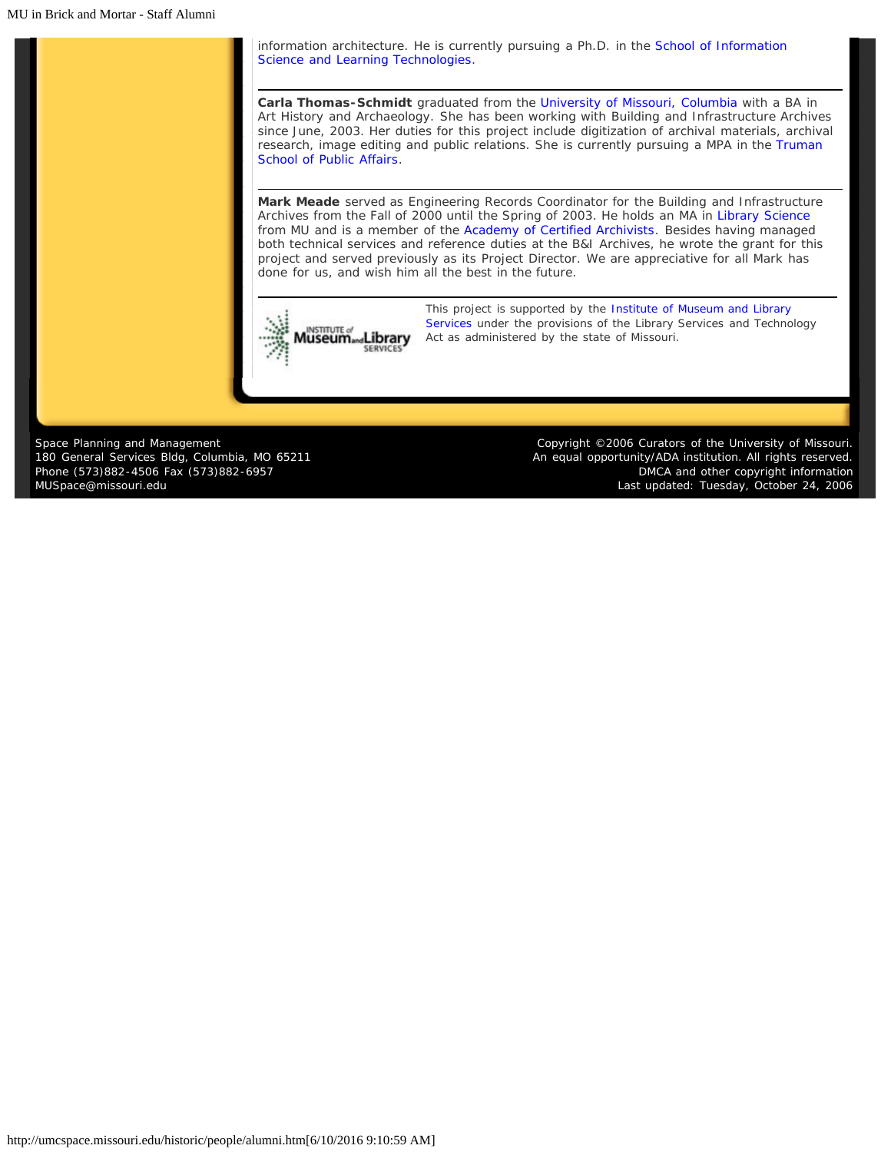information architecture. He is currently pursuing a Ph.D. in the [School of Information](http://sislt.missouri.edu/) [Science and Learning Technologies](http://sislt.missouri.edu/).

**Carla Thomas-Schmidt** graduated from the [University of Missouri, Columbia](http://www.missouri.edu/) with a BA in Art History and Archaeology. She has been working with Building and Infrastructure Archives since June, 2003. Her duties for this project include digitization of archival materials, archival research, image editing and public relations. She is currently pursuing a MPA in the [Truman](http://www.truman.missouri.edu/) [School of Public Affairs.](http://www.truman.missouri.edu/)

**Mark Meade** served as Engineering Records Coordinator for the Building and Infrastructure Archives from the Fall of 2000 until the Spring of 2003. He holds an MA in [Library Science](http://sislt.missouri.edu/) from MU and is a member of the [Academy of Certified Archivists](http://www.certifiedarchivists.org/). Besides having managed both technical services and reference duties at the B&I Archives, he wrote the grant for this project and served previously as its Project Director. We are appreciative for all Mark has done for us, and wish him all the best in the future.



*[T](http://www.imls.gov/)his project is supported by the [Institute of Museum and Library](http://www.imls.gov/) [Services](http://www.imls.gov/) under the provisions of the Library Services and Technology Act as administered by the state of Missouri.*

Space Planning and Management 180 General Services Bldg, Columbia, MO 65211 Phone (573)882-4506 Fax (573)882-6957 [MUSpace@missouri.edu](mailto:MUSpace@missouri.edu)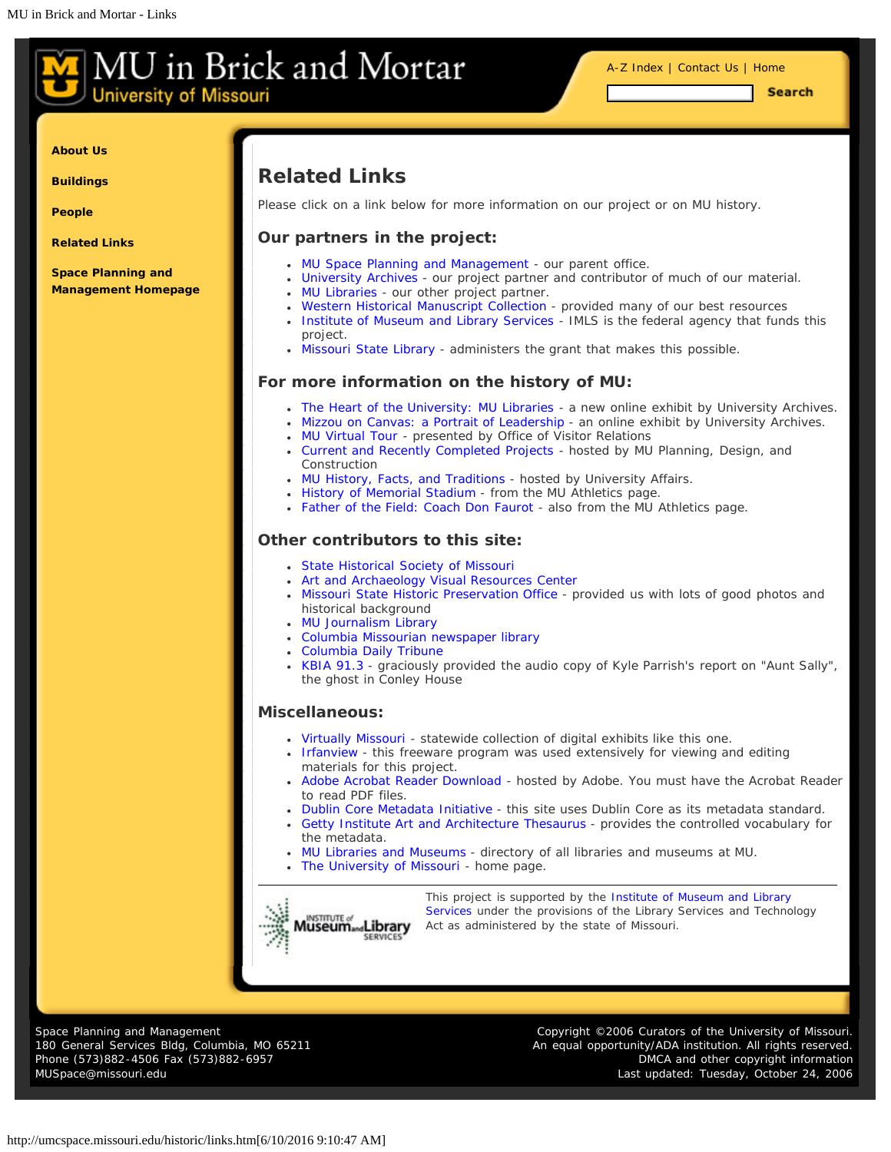<span id="page-18-0"></span>**University of Missouri** 

**Search** 

**[About Us](#page-18-0)**

**[Buildings](#page-18-0)**

**[People](#page-18-0)**

**[Related Links](#page-18-0)**

**[Space Planning and](http://www.cf.missouri.edu/spm) [Management Homepage](http://www.cf.missouri.edu/spm)**

# **Related Links**

Please click on a link below for more information on our project or on MU history.

#### **Our partners in the project:**

- [MU Space Planning and Management](http://www.cf.missouri.edu/spm/) our parent office.
- [University Archives](http://muarchives.missouri.edu/) our project partner and contributor of much of our material.
- [MU Libraries](http://mulibraries.missouri.edu/)  our other project partner.
- [Western Historical Manuscript Collection](http://www.umsystem.edu/ums/aa/units-manuscripts/) provided many of our best resources
- [Institute of Museum and Library Services](http://www.imls.gov/) IMLS is the federal agency that funds this project.
- [Missouri State Library](http://www.sos.mo.gov/library/) administers the grant that makes this possible.

#### **For more information on the history of MU:**

- [The Heart of the University: MU Libraries](http://muarchives.missouri.edu/libraryex.html) a new online exhibit by University Archives.
- [Mizzou on Canvas: a Portrait of Leadership](http://muarchives.missouri.edu/portrait.html)  an online exhibit by University Archives.
- [MU Virtual Tour](http://admissions.missouri.edu/visit/virtual-tours.php) presented by Office of Visitor Relations
- [Current and Recently Completed Projects](http://www.cf.missouri.edu/pdc/a-index.html) hosted by MU Planning, Design, and Construction
- [MU History, Facts, and Traditions](http://www.missouri.edu/about/history/) hosted by University Affairs.
- [History of Memorial Stadium](http://www.mutigers.com/facilities/fac-mem-faurot-fb.html) from the MU Athletics page.
- [Father of the Field: Coach Don Faurot](http://mutigers.ocsn.com/trads/miss-trads-faurot.html) also from the MU Athletics page.

#### **Other contributors to this site:**

- [State Historical Society of Missouri](http://www.umsystem.edu/shs/)
- [Art and Archaeology Visual Resources Center](http://aha.missouri.edu/resources/VRC.html)
- [Missouri State Historic Preservation Office](http://www.dnr.mo.gov/shpo/index.html) provided us with lots of good photos and historical background
- [MU Journalism Library](http://mulibraries.missouri.edu/journalism/)
- [Columbia Missourian newspaper library](http://mulibraries.missouri.edu/missourian/)
- [Columbia Daily Tribune](http://www.showmenews.com/)
- [KBIA 91.3](http://www.kbia.org/) graciously provided the audio copy of Kyle Parrish's report on "Aunt Sally", the ghost in Conley House

#### **Miscellaneous:**

- [Virtually Missouri](http://www.sos.mo.gov/mdh/)  statewide collection of digital exhibits like this one.
- [Irfanview](http://www.irfanview.com/) this freeware program was used extensively for viewing and editing materials for this project.
- [Adobe Acrobat Reader Download](http://www.adobe.com/products/acrobat/readstep2.html) hosted by Adobe. You must have the Acrobat Reader to read PDF files.
- [Dublin Core Metadata Initiative](http://www.dublincore.org/) this site uses Dublin Core as its metadata standard.
- [Getty Institute Art and Architecture Thesaurus](http://www.getty.edu/research/tools/vocabulary/aat/)  provides the controlled vocabulary for the metadata.
- [MU Libraries and Museums](http://www.missouri.edu/libraries-museums.php) directory of all libraries and museums at MU.
- [The University of Missouri](http://www.missouri.edu/)  home page.



*[T](http://www.imls.gov/)his project is supported by the [Institute of Museum and Library](http://www.imls.gov/) [Services](http://www.imls.gov/) under the provisions of the Library Services and Technology Act as administered by the state of Missouri.*

Space Planning and Management 180 General Services Bldg, Columbia, MO 65211 Phone (573)882-4506 Fax (573)882-6957 [MUSpace@missouri.edu](mailto:MUSpace@missouri.edu)